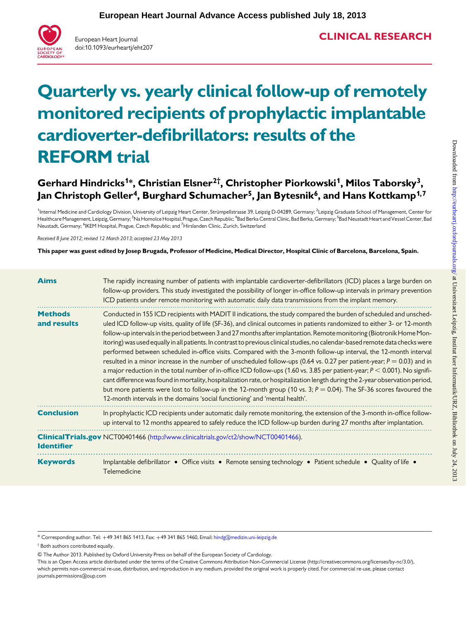

European Heart Journal doi:10.1093/eurheartj/eht207 CLINICAL RESEARCH

# Quarterly vs. yearly clinical follow-up of remotely monitored recipients of prophylactic implantable cardioverter-defibrillators: results of the REFORM trial

# Gerhard Hindricks<sup>1\*</sup>, Christian Elsner<sup>2†</sup>, Christopher Piorkowski<sup>1</sup>, Milos Taborsky<sup>3</sup>, Jan Christoph Geller<sup>4</sup>, Burghard Schumacher<sup>5</sup>, Jan Bytesnik<sup>6</sup>, and Hans Kottkamp<sup>1,7</sup>

<sup>1</sup>Internal Medicine and Cardiology Division, University of Leipzig Heart Center, Strümpellstrasse 39, Leipzig D-04289, Germany; <sup>2</sup>Leipzig Graduate School of Management, Center for Healthcare Management, Leipzig, Germany; <sup>3</sup>Na Homolce Hospital, Prague, Czech Republic; <sup>4</sup>Bad Berka Central Clinic, Bad Berka, Germany; <sup>5</sup>Bad Neustadt Heart and Vessel Center, Bac Neustadt, Germany; <sup>6</sup>IKEM Hospital, Prague, Czech Republic; and <sup>7</sup>Hirslanden Clinic, Zurich, Switzerland

Received 8 June 2012; revised 12 March 2013; accepted 23 May 2013

This paper was guest edited by Josep Brugada, Professor of Medicine, Medical Director, Hospital Clinic of Barcelona, Barcelona, Spain.

| <b>Aims</b>                   | The rapidly increasing number of patients with implantable cardioverter-defibrillators (ICD) places a large burden on<br>follow-up providers. This study investigated the possibility of longer in-office follow-up intervals in primary prevention<br>ICD patients under remote monitoring with automatic daily data transmissions from the implant memory.                                                                                                                                                                                                                                                                                                                                                                                                                                                                                                                                                                                                                                                                                                                                                                                                                                                                          |
|-------------------------------|---------------------------------------------------------------------------------------------------------------------------------------------------------------------------------------------------------------------------------------------------------------------------------------------------------------------------------------------------------------------------------------------------------------------------------------------------------------------------------------------------------------------------------------------------------------------------------------------------------------------------------------------------------------------------------------------------------------------------------------------------------------------------------------------------------------------------------------------------------------------------------------------------------------------------------------------------------------------------------------------------------------------------------------------------------------------------------------------------------------------------------------------------------------------------------------------------------------------------------------|
| <b>Methods</b><br>and results | Conducted in 155 ICD recipients with MADIT II indications, the study compared the burden of scheduled and unsched-<br>uled ICD follow-up visits, quality of life (SF-36), and clinical outcomes in patients randomized to either 3- or 12-month<br>follow-up intervals in the period between 3 and 27 months after implantation. Remote monitoring (Biotronik Home Mon-<br>itoring) was used equally in all patients. In contrast to previous clinical studies, no calendar-based remote data checks were<br>performed between scheduled in-office visits. Compared with the 3-month follow-up interval, the 12-month interval<br>resulted in a minor increase in the number of unscheduled follow-ups (0.64 vs. 0.27 per patient-year; $P = 0.03$ ) and in<br>a major reduction in the total number of in-office ICD follow-ups (1.60 vs. 3.85 per patient-year; $P < 0.001$ ). No signifi-<br>cant difference was found in mortality, hospitalization rate, or hospitalization length during the 2-year observation period,<br>but more patients were lost to follow-up in the 12-month group (10 vs. 3; $P = 0.04$ ). The SF-36 scores favoured the<br>12-month intervals in the domains 'social functioning' and 'mental health'. |
| <b>Conclusion</b>             | In prophylactic ICD recipients under automatic daily remote monitoring, the extension of the 3-month in-office follow-<br>up interval to 12 months appeared to safely reduce the ICD follow-up burden during 27 months after implantation.                                                                                                                                                                                                                                                                                                                                                                                                                                                                                                                                                                                                                                                                                                                                                                                                                                                                                                                                                                                            |
| <b>Identifier</b>             | ClinicalTrials.gov NCT00401466 (http://www.clinicaltrials.gov/ct2/show/NCT00401466).                                                                                                                                                                                                                                                                                                                                                                                                                                                                                                                                                                                                                                                                                                                                                                                                                                                                                                                                                                                                                                                                                                                                                  |
| <b>Keywords</b>               | Implantable defibrillator • Office visits • Remote sensing technology • Patient schedule • Quality of life •<br>Telemedicine                                                                                                                                                                                                                                                                                                                                                                                                                                                                                                                                                                                                                                                                                                                                                                                                                                                                                                                                                                                                                                                                                                          |

\* Corresponding author. Tel: +49 341 865 1413, Fax: +49 341 865 1460, Email: [hindg@medizin.uni-leipzig.de](mailto:hindg@medizin.uni-leipzig.de)

<sup>†</sup> Both authors contributed equally.

<sup>&</sup>amp; The Author 2013. Published by Oxford University Press on behalf of the European Society of Cardiology.

This is an Open Access article distributed under the terms of the Creative Commons Attribution Non-Commercial License (http://creativecommons.org/licenses/by-nc/3.0/), which permits non-commercial re-use, distribution, and reproduction in any medium, provided the original work is properly cited. For commercial re-use, please contact journals.permissions@oup.com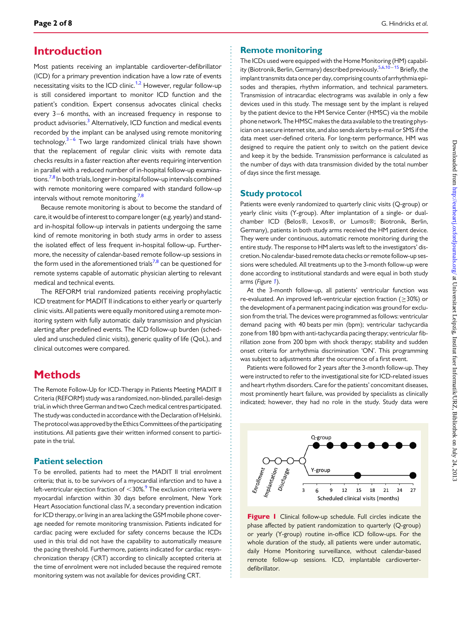# <span id="page-1-0"></span>Introduction

Most patients receiving an implantable cardioverter-defibrillator (ICD) for a primary prevention indication have a low rate of events necessitating visits to the ICD clinic.<sup>[1](#page-7-0),[2](#page-7-0)</sup> However, regular follow-up is still considered important to monitor ICD function and the patient's condition. Expert consensus advocates clinical checks every 3–6 months, with an increased frequency in response to product advisories.<sup>3</sup> Alternatively, ICD function and medical events recorded by the implant can be analysed using remote monitoring technology. $3-6$  $3-6$  $3-6$  Two large randomized clinical trials have shown that the replacement of regular clinic visits with remote data checks results in a faster reaction after events requiring intervention in parallel with a reduced number of in-hospital follow-up examina-tions.<sup>[7,8](#page-7-0)</sup> In both trials, longer in-hospital follow-up intervals combined with remote monitoring were compared with standard follow-up intervals without remote monitoring.<sup>[7](#page-7-0),[8](#page-7-0)</sup>

Because remote monitoring is about to become the standard of care, it would be of interest to compare longer (e.g. yearly) and standard in-hospital follow-up intervals in patients undergoing the same kind of remote monitoring in both study arms in order to assess the isolated effect of less frequent in-hospital follow-up. Furthermore, the necessity of calendar-based remote follow-up sessions in the form used in the aforementioned trials<sup>[7](#page-7-0),[8](#page-7-0)</sup> can be questioned for remote systems capable of automatic physician alerting to relevant medical and technical events.

The REFORM trial randomized patients receiving prophylactic ICD treatment for MADIT II indications to either yearly or quarterly clinic visits. All patients were equally monitored using a remote monitoring system with fully automatic daily transmission and physician alerting after predefined events. The ICD follow-up burden (scheduled and unscheduled clinic visits), generic quality of life (QoL), and clinical outcomes were compared.

# **Methods**

The Remote Follow-Up for ICD-Therapy in Patients Meeting MADIT II Criteria (REFORM) study was a randomized, non-blinded, parallel-design trial, in which three German and two Czech medical centres participated. The study was conducted in accordance with the Declaration of Helsinki. The protocol was approved by the Ethics Committees of the participating institutions. All patients gave their written informed consent to participate in the trial.

### Patient selection

To be enrolled, patients had to meet the MADIT II trial enrolment criteria; that is, to be survivors of a myocardial infarction and to have a left-ventricular ejection fraction of  $<$ 30%.<sup>[9](#page-7-0)</sup> The exclusion criteria were myocardial infarction within 30 days before enrolment, New York Heart Association functional class IV, a secondary prevention indication for ICD therapy, or living in an area lacking the GSM mobile phone coverage needed for remote monitoring transmission. Patients indicated for cardiac pacing were excluded for safety concerns because the ICDs used in this trial did not have the capability to automatically measure the pacing threshold. Furthermore, patients indicated for cardiac resynchronization therapy (CRT) according to clinically accepted criteria at the time of enrolment were not included because the required remote monitoring system was not available for devices providing CRT.

#### Remote monitoring

The ICDs used were equipped with the Home Monitoring (HM) capabil-ity (Biotronik, Berlin, Germany) described previously.<sup>[5,6](#page-7-0),[10](#page-7-0)-[15](#page-7-0)</sup> Briefly, the implant transmits data once per day, comprising counts of arrhythmia episodes and therapies, rhythm information, and technical parameters. Transmission of intracardiac electrograms was available in only a few devices used in this study. The message sent by the implant is relayed by the patient device to the HM Service Center (HMSC) via the mobile phone network. The HMSC makes the data available to the treating physician on a secure internet site, and also sends alerts by e-mail or SMS if the data meet user-defined criteria. For long-term performance, HM was designed to require the patient only to switch on the patient device and keep it by the bedside. Transmission performance is calculated as the number of days with data transmission divided by the total number of days since the first message.

#### Study protocol

Patients were evenly randomized to quarterly clinic visits (Q-group) or yearly clinic visits (Y-group). After implantation of a single- or dualchamber ICD (Belos®, Lexos®, or Lumos®; Biotronik, Berlin, Germany), patients in both study arms received the HM patient device. They were under continuous, automatic remote monitoring during the entire study. The response to HM alerts was left to the investigators' discretion. No calendar-based remote data checks or remote follow-up sessions were scheduled. All treatments up to the 3-month follow-up were done according to institutional standards and were equal in both study arms (Figure 1).

At the 3-month follow-up, all patients' ventricular function was re-evaluated. An improved left-ventricular ejection fraction ( $\geq$ 30%) or the development of a permanent pacing indication was ground for exclusion from the trial. The devices were programmed as follows: ventricular demand pacing with 40 beats per min (bpm); ventricular tachycardia zone from 180 bpm with anti-tachycardia pacing therapy; ventricular fibrillation zone from 200 bpm with shock therapy; stability and sudden onset criteria for arrhythmia discrimination 'ON'. This programming was subject to adjustments after the occurrence of a first event.

Patients were followed for 2 years after the 3-month follow-up. They were instructed to refer to the investigational site for ICD-related issues and heart rhythm disorders. Care for the patients' concomitant diseases, most prominently heart failure, was provided by specialists as clinically indicated; however, they had no role in the study. Study data were



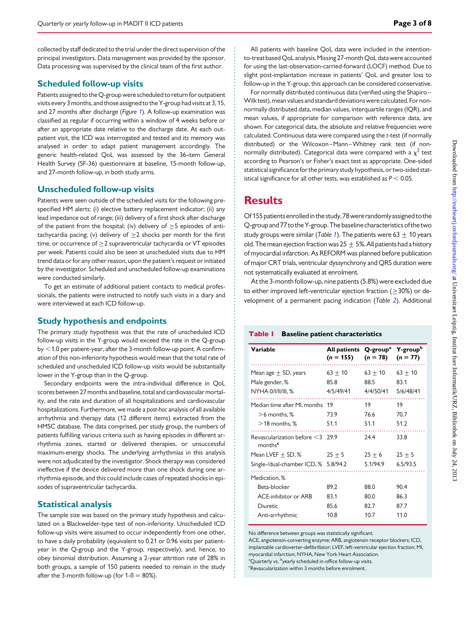collected by staff dedicated to the trial under the direct supervision of the principal investigators. Data management was provided by the sponsor. Data processing was supervised by the clinical team of the first author.

## Scheduled follow-up visits

Patients assigned to the Q-group were scheduled to return for outpatient visits every 3 months, and those assigned to the Y-group had visits at 3, 15, and 27 months after discharge (Figure [1](#page-1-0)). A follow-up examination was classified as regular if occurring within a window of 4 weeks before or after an appropriate date relative to the discharge date. At each outpatient visit, the ICD was interrogated and tested and its memory was analysed in order to adapt patient management accordingly. The generic health-related QoL was assessed by the 36-item General Health Survey (SF-36) questionnaire at baseline, 15-month follow-up, and 27-month follow-up, in both study arms.

## Unscheduled follow-up visits

Patients were seen outside of the scheduled visits for the following prespecified HM alerts: (i) elective battery replacement indicator; (ii) any lead impedance out of range; (iii) delivery of a first shock after discharge of the patient from the hospital; (iv) delivery of  $\geq$  5 episodes of antitachycardia pacing; (v) delivery of  $\geq 2$  shocks per month for the first time, or occurrence of ≥2 supraventricular tachycardia or VT episodes per week. Patients could also be seen at unscheduled visits due to HM trend data or for any other reason, upon the patient's request or initiated by the investigator. Scheduled and unscheduled follow-up examinations were conducted similarly.

To get an estimate of additional patient contacts to medical professionals, the patients were instructed to notify such visits in a diary and were interviewed at each ICD follow-up.

#### Study hypothesis and endpoints

The primary study hypothesis was that the rate of unscheduled ICD follow-up visits in the Y-group would exceed the rate in the Q-group by  $<$  1.0 per patient-year, after the 3-month follow-up point. A confirmation of this non-inferiority hypothesis would mean that the total rate of scheduled and unscheduled ICD follow-up visits would be substantially lower in the Y-group than in the Q-group.

Secondary endpoints were the intra-individual difference in QoL scores between 27 months and baseline, total and cardiovascular mortality, and the rate and duration of all hospitalizations and cardiovascular hospitalizations. Furthermore, we made a post-hoc analysis of all available arrhythmia and therapy data (12 different items) extracted from the HMSC database. The data comprised, per study group, the numbers of patients fulfilling various criteria such as having episodes in different arrhythmia zones, started or delivered therapies, or unsuccessful maximum-energy shocks. The underlying arrhythmias in this analysis were not adjudicated by the investigator. Shock therapy was considered ineffective if the device delivered more than one shock during one arrhythmia episode, and this could include cases of repeated shocks in episodes of supraventricular tachycardia.

#### Statistical analysis

The sample size was based on the primary study hypothesis and calculated on a Blackwelder-type test of non-inferiority. Unscheduled ICD follow-up visits were assumed to occur independently from one other, to have a daily probability (equivalent to 0.21 or 0.96 visits per patientyear in the Q-group and the Y-group, respectively), and, hence, to obey binomial distribution. Assuming a 2-year attrition rate of 28% in both groups, a sample of 150 patients needed to remain in the study after the 3-month follow-up (for  $1-\beta = 80\%$ ).

All patients with baseline QoL data were included in the intentionto-treat based QoL analysis. Missing 27-month QoL datawere accounted for using the last-observation-carried-forward (LOCF) method. Due to slight post-implantation increase in patients' QoL and greater loss to follow-up in the Y-group, this approach can be considered conservative.

For normally distributed continuous data (verified using the Shapiro– Wilk test), mean values and standard deviations were calculated. For nonnormally distributed data, median values, interquartile ranges (IQR), and mean values, if appropriate for comparison with reference data, are shown. For categorical data, the absolute and relative frequencies were calculated. Continuous data were compared using the t-test (if normally distributed) or the Wilcoxon–Mann–Whitney rank test (if nonnormally distributed). Categorical data were compared with a  $\chi^2$  test according to Pearson's or Fisher's exact test as appropriate. One-sided statistical significance for the primarystudy hypothesis, or two-sided statistical significance for all other tests, was established as  $P < 0.05$ .

# Results

Of 155 patients enrolled in the study, 78 were randomly assigned to the Q-group and 77 to the Y-group. The baseline characteristics of the two study groups were similar (Table 1). The patients were 63  $\pm$  10 years old. The mean ejection fraction was  $25+5%$ . All patients had a history of myocardial infarction. As REFORM was planned before publication of major CRT trials, ventricular dyssynchrony and QRS duration were not systematically evaluated at enrolment.

At the 3-month follow-up, nine patients (5.8%) were excluded due to either improved left-ventricular ejection fraction ( $\geq$ 30%) or development of a permanent pacing indication (Table [2](#page-3-0)). Additional

#### Table | Baseline patient characteristics

| Variable                                                  | All patients Q-group <sup>a</sup> Y-group <sup>b</sup><br>$(n = 155)$ $(n = 78)$ |            | $(n = 77)$  |
|-----------------------------------------------------------|----------------------------------------------------------------------------------|------------|-------------|
| Mean age $\pm$ SD, years                                  | $63 + 10$                                                                        | $63 + 10$  | $63 \pm 10$ |
| Male gender, %                                            | 85.8                                                                             | 88.5       | 83.1        |
| NYHA 0/1/11/111, %                                        | 4/5/49/41                                                                        | 4/4/50/41  | 5/6/48/41   |
| Median time after MI, months<br>$>$ 6 months, $%$         | 19<br>73.9                                                                       | 19<br>76.6 | 19<br>70.7  |
| $>$ 18 months, $%$                                        | 51.1                                                                             | 51.1       | 51.2        |
| Revascularization before $<$ 329.9<br>months <sup>c</sup> |                                                                                  | 24.4       | 33.8        |
| Mean LVEF $+$ SD, $%$                                     | $25 + 5$                                                                         | $25 + 6$   | $25 + 5$    |
| Single-/dual-chamber ICD, %5.8/94.2                       |                                                                                  | 5.1/94.9   | 6.5/93.5    |
| Medication, %                                             |                                                                                  |            |             |
| Beta-blocker                                              | 89.2                                                                             | 88.0       | 90.4        |
| ACE-inhibitor or ARB                                      | 83.1                                                                             | 80.0       | 86.3        |
| Diuretic                                                  | 85.6                                                                             | 82.7       | 87.7        |
| Anti-arrhythmic                                           | 10.8                                                                             | 10.7       | 11.0        |

No difference between groups was statistically significant.

ACE, angiotensin-converting enzyme; ARB, angiotensin receptor blockers; ICD, implantable cardioverter-defibrillator; LVEF, left-ventricular ejection fraction; MI, myocardial infarction; NYHA, New York Heart Association.

<sup>a</sup>Quarterly vs. <sup>b</sup>yearly scheduled in-office follow-up visits.

<sup>c</sup>Revascularization within 3 months before enrolment.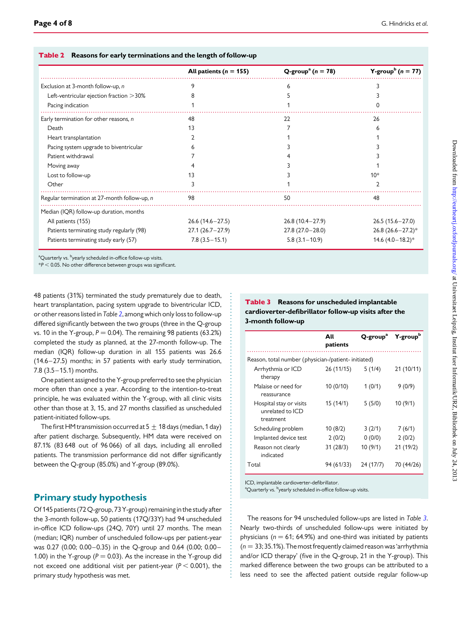|                                              | All patients ( $n = 155$ ) | $Q$ -group <sup>a</sup> ( $n = 78$ ) | $Y$ -group <sup>b</sup> (n = 77) |
|----------------------------------------------|----------------------------|--------------------------------------|----------------------------------|
| Exclusion at 3-month follow-up, n            | 9                          | 6                                    |                                  |
| Left-ventricular ejection fraction > 30%     |                            |                                      |                                  |
| Pacing indication                            |                            |                                      |                                  |
| Early termination for other reasons, n       | 48                         | 22                                   | 26                               |
| Death                                        | 13                         |                                      |                                  |
| Heart transplantation                        |                            |                                      |                                  |
| Pacing system upgrade to biventricular       |                            |                                      |                                  |
| Patient withdrawal                           |                            |                                      |                                  |
| Moving away                                  |                            |                                      |                                  |
| Lost to follow-up                            | 13                         |                                      | $10*$                            |
| Other                                        |                            |                                      |                                  |
| Regular termination at 27-month follow-up, n | 98                         | 50                                   | 48                               |
| Median (IQR) follow-up duration, months      |                            |                                      |                                  |
| All patients (155)                           | $26.6(14.6 - 27.5)$        | $26.8(10.4-27.9)$                    | $26.5(15.6 - 27.0)$              |
| Patients terminating study regularly (98)    | $27.1(26.7-27.9)$          | $27.8(27.0-28.0)$                    | $26.8(26.6-27.2)*$               |
| Patients terminating study early (57)        | $7.8(3.5-15.1)$            | $5.8(3.1-10.9)$                      | 14.6 $(4.0-18.2)*$               |

#### <span id="page-3-0"></span>Table 2 Reasons for early terminations and the length of follow-up

 $\mathrm{^a}$ Quarterly vs.  $\mathrm{^b}$ yearly scheduled in-office follow-up visits.

 $*P < 0.05$ . No other difference between groups was significant.

48 patients (31%) terminated the study prematurely due to death, heart transplantation, pacing system upgrade to biventricular ICD, or other reasons listed in Table 2, among which only loss to follow-up differed significantly between the two groups (three in the Q-group vs. 10 in the Y-group,  $P = 0.04$ ). The remaining 98 patients (63.2%) completed the study as planned, at the 27-month follow-up. The median (IQR) follow-up duration in all 155 patients was 26.6 (14.6–27.5) months; in 57 patients with early study termination, 7.8 (3.5–15.1) months.

One patient assigned to the Y-group preferred to see the physician more often than once a year. According to the intention-to-treat principle, he was evaluated within the Y-group, with all clinic visits other than those at 3, 15, and 27 months classified as unscheduled patient-initiated follow-ups.

The first HM transmission occurred at  $5+18$  days (median, 1 day) after patient discharge. Subsequently, HM data were received on 87.1% (83 648 out of 96 066) of all days, including all enrolled patients. The transmission performance did not differ significantly between the Q-group (85.0%) and Y-group (89.0%).

## Primary study hypothesis

Of 145 patients (72 Q-group, 73 Y-group) remaining in the study after the 3-month follow-up, 50 patients (17Q/33Y) had 94 unscheduled in-office ICD follow-ups (24Q, 70Y) until 27 months. The mean (median; IQR) number of unscheduled follow-ups per patient-year was 0.27 (0.00; 0.00–0.35) in the Q-group and 0.64 (0.00; 0.00– 1.00) in the Y-group ( $P = 0.03$ ). As the increase in the Y-group did not exceed one additional visit per patient-year ( $P < 0.001$ ), the primary study hypothesis was met.

#### Table 3 Reasons for unscheduled implantable cardioverter-defibrillator follow-up visits after the 3-month follow-up

|                                                          | All<br>patients |          | Q-group <sup>a</sup> Y-group <sup>b</sup> |
|----------------------------------------------------------|-----------------|----------|-------------------------------------------|
| Reason, total number (physician-/patient- initiated)     |                 |          |                                           |
| Arrhythmia or ICD<br>therapy                             | 26 (11/15)      | 5(1/4)   | 21 (10/11)                                |
| Malaise or need for<br>reassurance                       | 10(0/10)        | 1(0/1)   | 9 (0/9)                                   |
| Hospital stay or visits<br>unrelated to ICD<br>treatment | 15 (14/1)       | 5(5/0)   | 10(9/1)                                   |
| Scheduling problem                                       | 10(8/2)         | 3(2/1)   | 7(6/1)                                    |
| Implanted device test                                    | 2(0/2)          | 0(0/0)   | 2(0/2)                                    |
| Reason not clearly<br>indicated                          | 31(28/3)        | 10(9/1)  | 21(19/2)                                  |
| Total                                                    | 94 (61/33)      | 24(17/7) | 70 (44/26)                                |

ICD, implantable cardioverter-defibrillator.

<sup>a</sup>Quarterly vs. <sup>b</sup>yearly scheduled in-office follow-up visits.

The reasons for 94 unscheduled follow-ups are listed in Table 3. Nearly two-thirds of unscheduled follow-ups were initiated by physicians ( $n = 61$ ; 64.9%) and one-third was initiated by patients  $(n = 33; 35.1\%)$ . The most frequently claimed reason was 'arrhythmia and/or ICD therapy' (five in the Q-group, 21 in the Y-group). This marked difference between the two groups can be attributed to a less need to see the affected patient outside regular follow-up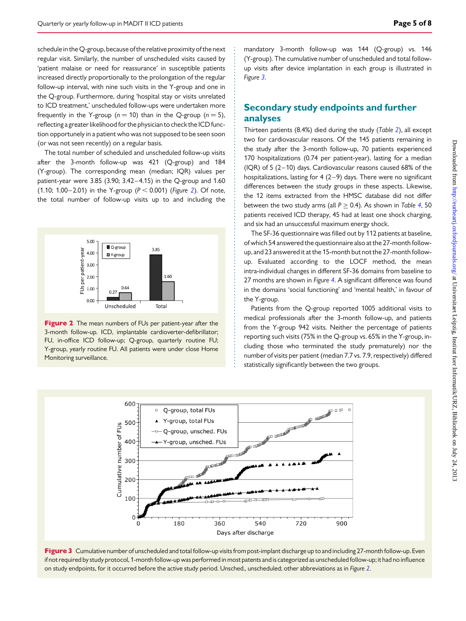schedule in the Q-group, because of the relative proximity of the next regular visit. Similarly, the number of unscheduled visits caused by 'patient malaise or need for reassurance' in susceptible patients increased directly proportionally to the prolongation of the regular follow-up interval, with nine such visits in the Y-group and one in the Q-group. Furthermore, during 'hospital stay or visits unrelated to ICD treatment,' unscheduled follow-ups were undertaken more frequently in the Y-group ( $n = 10$ ) than in the Q-group ( $n = 5$ ), reflecting a greater likelihood for the physician to check the ICD function opportunely in a patient who was not supposed to be seen soon (or was not seen recently) on a regular basis.

The total number of scheduled and unscheduled follow-up visits after the 3-month follow-up was 421 (Q-group) and 184 (Y-group). The corresponding mean (median; IQR) values per patient-year were 3.85 (3.90; 3.42–4.15) in the Q-group and 1.60 (1.10; 1.00–2.01) in the Y-group ( $P < 0.001$ ) (Figure 2). Of note, the total number of follow-up visits up to and including the



Figure 2 The mean numbers of FUs per patient-year after the 3-month follow-up. ICD, implantable cardioverter-defibrillator; FU, in-office ICD follow-up; Q-group, quarterly routine FU; Y-group, yearly routine FU. All patients were under close Home Monitoring surveillance.

mandatory 3-month follow-up was 144 (Q-group) vs. 146 (Y-group). The cumulative number of unscheduled and total followup visits after device implantation in each group is illustrated in Figure 3.

# Secondary study endpoints and further analyses

Thirteen patients (8.4%) died during the study (Table [2](#page-3-0)), all except two for cardiovascular reasons. Of the 145 patients remaining in the study after the 3-month follow-up, 70 patients experienced 170 hospitalizations (0.74 per patient-year), lasting for a median (IQR) of 5 (2–10) days. Cardiovascular reasons caused 68% of the hospitalizations, lasting for 4 (2–9) days. There were no significant differences between the study groups in these aspects. Likewise, the 12 items extracted from the HMSC database did not differ between the two study arms (all  $P \ge 0.4$  $P \ge 0.4$ ). As shown in Table 4, 50 patients received ICD therapy, 45 had at least one shock charging, and six had an unsuccessful maximum energy shock.

The SF-36 questionnaire was filled out by 112 patients at baseline, of which 54 answered the questionnaire also at the 27-month followup, and 23 answered it at the 15-month but not the 27-month followup. Evaluated according to the LOCF method, the mean intra-individual changes in different SF-36 domains from baseline to 27 months are shown in Figure [4](#page-5-0). A significant difference was found in the domains 'social functioning' and 'mental health,' in favour of the Y-group.

Patients from the Q-group reported 1005 additional visits to medical professionals after the 3-month follow-up, and patients from the Y-group 942 visits. Neither the percentage of patients reporting such visits (75% in the Q-group vs. 65% in the Y-group, including those who terminated the study prematurely) nor the number of visits per patient (median 7.7 vs. 7.9, respectively) differed statistically significantly between the two groups.



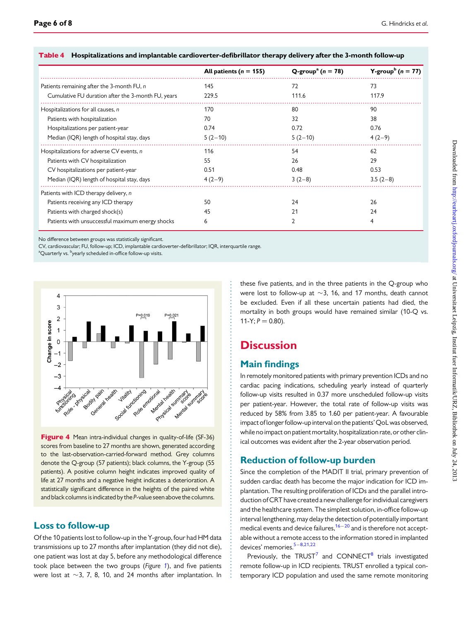|                                                    | All patients ( $n = 155$ ) | $Q$ -group <sup>a</sup> (n = 78) | $Y$ -group <sup>b</sup> (n = 77) |
|----------------------------------------------------|----------------------------|----------------------------------|----------------------------------|
| Patients remaining after the 3-month FU, n         | 145                        | 72                               | 73                               |
| Cumulative FU duration after the 3-month FU, years | 229.5                      | 111.6                            | 117.9                            |
| Hospitalizations for all causes, n                 | 170                        | 80                               | 90                               |
| Patients with hospitalization                      | 70                         | 32                               | 38                               |
| Hospitalizations per patient-year                  | 0.74                       | 0.72                             | 0.76                             |
| Median (IQR) length of hospital stay, days         | $5(2-10)$                  | $5(2-10)$                        | $4(2-9)$                         |
| Hospitalizations for adverse CV events, n          | 116                        | 54                               | 62                               |
| Patients with CV hospitalization                   | 55                         | 26                               | 29                               |
| CV hospitalizations per patient-year               | 0.51                       | 0.48                             | 0.53                             |
| Median (IQR) length of hospital stay, days         | $4(2-9)$                   | $3(2-8)$                         | $3.5(2-8)$                       |
| Patients with ICD therapy delivery, n              |                            |                                  |                                  |
| Patients receiving any ICD therapy                 | 50                         | 24                               | 26                               |
| Patients with charged shock(s)                     | 45                         | 21                               | 24                               |
| Patients with unsuccessful maximum energy shocks   | 6                          |                                  | 4                                |

<span id="page-5-0"></span>

| Table 4 Hospitalizations and implantable cardioverter-defibrillator therapy delivery after the 3-month follow-up |
|------------------------------------------------------------------------------------------------------------------|
|------------------------------------------------------------------------------------------------------------------|

No difference between groups was statistically significant.

CV, cardiovascular; FU, follow-up; ICD, implantable cardioverter-defibrillator; IQR, interquartile range.

 $\mathrm{^a}$ Quarterly vs.  $\mathrm{^b}$ yearly scheduled in-office follow-up visits.



Figure 4 Mean intra-individual changes in quality-of-life (SF-36) scores from baseline to 27 months are shown, generated according to the last-observation-carried-forward method. Grey columns denote the Q-group (57 patients); black columns, the Y-group (55 patients). A positive column height indicates improved quality of life at 27 months and a negative height indicates a deterioration. A statistically significant difference in the heights of the paired white and black columns is indicated by the P-value seen above the columns.

# Loss to follow-up

Of the 10 patients lost to follow-up in the Y-group, four had HM data transmissions up to 27 months after implantation (they did not die), one patient was lost at day 5, before any methodological difference took place between the two groups (Figure [1](#page-1-0)), and five patients were lost at  $\sim$ 3, 7, 8, 10, and 24 months after implantation. In these five patients, and in the three patients in the Q-group who were lost to follow-up at  $\sim$ 3, 16, and 17 months, death cannot be excluded. Even if all these uncertain patients had died, the mortality in both groups would have remained similar (10-Q vs. 11-Y;  $P = 0.80$ ).

# **Discussion**

# Main findings

In remotely monitored patients with primary prevention ICDs and no cardiac pacing indications, scheduling yearly instead of quarterly follow-up visits resulted in 0.37 more unscheduled follow-up visits per patient-year. However, the total rate of follow-up visits was reduced by 58% from 3.85 to 1.60 per patient-year. A favourable impact of longer follow-up interval on the patients' QoL was observed, while no impact on patient mortality, hospitalization rate, or other clinical outcomes was evident after the 2-year observation period.

# Reduction of follow-up burden

Since the completion of the MADIT II trial, primary prevention of sudden cardiac death has become the major indication for ICD implantation. The resulting proliferation of ICDs and the parallel introduction of CRT have createda new challenge for individual caregivers and the healthcare system. The simplest solution, in-office follow-up interval lengthening, may delay the detection of potentially important medical events and device failures, $16 - 20$  $16 - 20$  $16 - 20$  and is therefore not acceptable without a remote access to the information stored in implanted devices' memories. $5 - 8,21,22$  $5 - 8,21,22$  $5 - 8,21,22$  $5 - 8,21,22$  $5 - 8,21,22$  $5 - 8,21,22$  $5 - 8,21,22$ 

Previously, the  $TRUST^7$  and  $COMNECT^8$  trials investigated remote follow-up in ICD recipients. TRUST enrolled a typical contemporary ICD population and used the same remote monitoring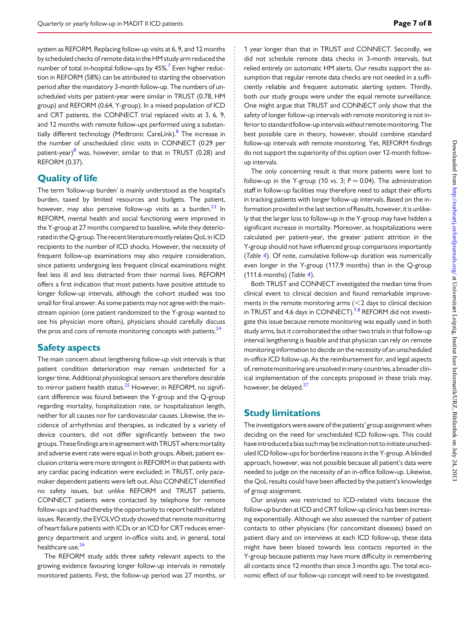system as REFORM. Replacing follow-up visits at 6, 9, and 12 months by scheduled checks of remote data in the HM study arm reduced the number of total in-hospital follow-ups by  $45\%$ .<sup>[7](#page-7-0)</sup> Even higher reduction in REFORM (58%) can be attributed to starting the observation period after the mandatory 3-month follow-up. The numbers of unscheduled visits per patient-year were similar in TRUST (0.78, HM group) and REFORM (0.64, Y-group). In a mixed population of ICD and CRT patients, the CONNECT trial replaced visits at 3, 6, 9, and 12 months with remote follow-ups performed using a substantially different technology (Medtronic CareLink).<sup>8</sup> The increase in the number of unscheduled clinic visits in CONNECT (0.29 per patient-year) $8$  was, however, similar to that in TRUST (0.28) and REFORM (0.37).

## Quality of life

The term 'follow-up burden' is mainly understood as the hospital's burden, taxed by limited resources and budgets. The patient, however, may also perceive follow-up visits as a burden. $23 \text{ In}$  $23 \text{ In}$ REFORM, mental health and social functioning were improved in the Y-group at 27 months compared to baseline, while they deteriorated in the Q-group. The recent literature mostly relates QoL in ICD recipients to the number of ICD shocks. However, the necessity of frequent follow-up examinations may also require consideration, since patients undergoing less frequent clinical examinations might feel less ill and less distracted from their normal lives. REFORM offers a first indication that most patients have positive attitude to longer follow-up intervals, although the cohort studied was too small for final answer. As some patients may not agree with the mainstream opinion (one patient randomized to the Y-group wanted to see his physician more often), physicians should carefully discuss the pros and cons of remote monitoring concepts with patients.<sup>[24](#page-7-0)</sup>

## Safety aspects

The main concern about lengthening follow-up visit intervals is that patient condition deterioration may remain undetected for a longer time. Additional physiological sensors are therefore desirable to mirror patient health status.<sup>25</sup> However, in REFORM, no significant difference was found between the Y-group and the Q-group regarding mortality, hospitalization rate, or hospitalization length, neither for all causes nor for cardiovascular causes. Likewise, the incidence of arrhythmias and therapies, as indicated by a variety of device counters, did not differ significantly between the two groups. These findings are in agreement with TRUST where mortality and adverse event rate were equal in both groups. Albeit, patient exclusion criteria were more stringent in REFORM in that patients with any cardiac pacing indication were excluded; in TRUST, only pacemaker dependent patients were left out. Also CONNECT identified no safety issues, but unlike REFORM and TRUST patients, CONNECT patients were contacted by telephone for remote follow-ups and had thereby the opportunity to report health-related issues. Recently, the EVOLVO study showed that remote monitoring of heart failure patients with ICDs or an ICD for CRT reduces emergency department and urgent in-office visits and, in general, total healthcare use.<sup>[26](#page-7-0)</sup>

The REFORM study adds three safety relevant aspects to the growing evidence favouring longer follow-up intervals in remotely monitored patients. First, the follow-up period was 27 months, or

1 year longer than that in TRUST and CONNECT. Secondly, we did not schedule remote data checks in 3-month intervals, but relied entirely on automatic HM alerts. Our results support the assumption that regular remote data checks are not needed in a sufficiently reliable and frequent automatic alerting system. Thirdly, both our study groups were under the equal remote surveillance. One might argue that TRUST and CONNECT only show that the safety of longer follow-up intervals with remote monitoring is not inferior to standard follow-up intervals without remote monitoring. The best possible care in theory, however, should combine standard follow-up intervals with remote monitoring. Yet, REFORM findings do not support the superiority of this option over 12-month followup intervals.

The only concerning result is that more patients were lost to follow-up in the Y-group (10 vs. 3;  $P = 0.04$ ). The administration staff in follow-up facilities may therefore need to adapt their efforts in tracking patients with longer follow-up intervals. Based on the information provided in the last section of Results, however, it is unlikely that the larger loss to follow-up in the Y-group may have hidden a significant increase in mortality. Moreover, as hospitalizations were calculated per patient-year, the greater patient attrition in the Y-group should not have influenced group comparisons importantly (Table [4](#page-5-0)). Of note, cumulative follow-up duration was numerically even longer in the Y-group (117.9 months) than in the Q-group (111.6 months) (Table [4](#page-5-0)).

Both TRUST and CONNECT investigated the median time from clinical event to clinical decision and found remarkable improvements in the remote monitoring arms  $\left($  < 2 days to clinical decision in TRUST and 4.6 days in CONNECT).<sup>7,8</sup> REFORM did not investigate this issue because remote monitoring was equally used in both study arms, but it corroborated the other two trials in that follow-up interval lengthening is feasible and that physician can rely on remote monitoring information to decide on the necessity of an unscheduled in-office ICD follow-up. As the reimbursement for, and legal aspects of, remote monitoring are unsolved in many countries, a broader clinical implementation of the concepts proposed in these trials may, however, be delayed.<sup>27</sup>

## Study limitations

The investigators wereaware of the patients' group assignment when deciding on the need for unscheduled ICD follow-ups. This could have introduced a bias such may be inclination not to initiate unscheduled ICD follow-ups for borderline reasons in the Y-group. A blinded approach, however, was not possible because all patient's data were needed to judge on the necessity of an in-office follow-up. Likewise, the QoL results could have been affected by the patient's knowledge of group assignment.

Our analysis was restricted to ICD-related visits because the follow-up burden at ICD and CRT follow-up clinics has been increasing exponentially. Although we also assessed the number of patient contacts to other physicians (for concomitant diseases) based on patient diary and on interviews at each ICD follow-up, these data might have been biased towards less contacts reported in the Y-group because patients may have more difficulty in remembering all contacts since 12 months than since 3 months ago. The total economic effect of our follow-up concept will need to be investigated.